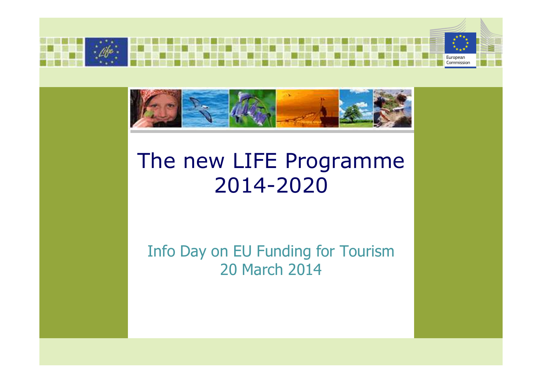



## The new LIFE Programme2014-2020

## Info Day on EU Funding for Tourism20 March 2014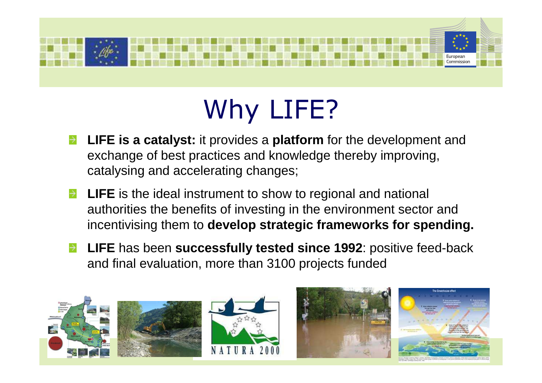

# Why LIFE?

- **LIFE is a catalyst:** it provides a **platform** for the development and exchange of best practices and knowledge thereby improving, catalysing and accelerating changes;
- **LIFE** is the ideal instrument to show to regional and national authorities the benefits of investing in the environment sector and incentivising them to **develop strategic frameworks for spending.**
- **LIFE** has been **successfully tested since 1992**: positive feed-back and final evaluation, more than 3100 projects funded









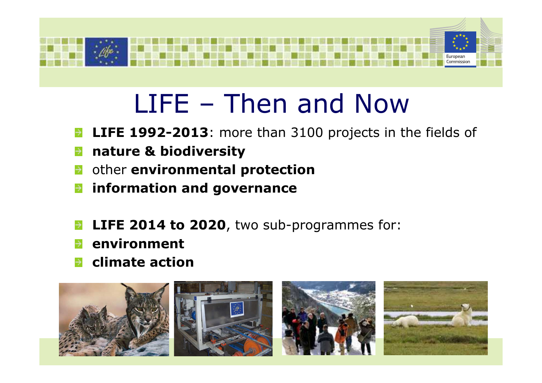

## LIFE – Then and Now

- **LIFE 1992-2013**: more than 3100 projects in the fields of $\rightarrow$
- **nature & biodiversity**  $\rightarrow$
- other **environmental protection** $\rightarrow$
- **information and governance** $\rightarrow$
- **LIFE 2014 to 2020**, two sub-programmes for:
- **environment**
- **climate action**







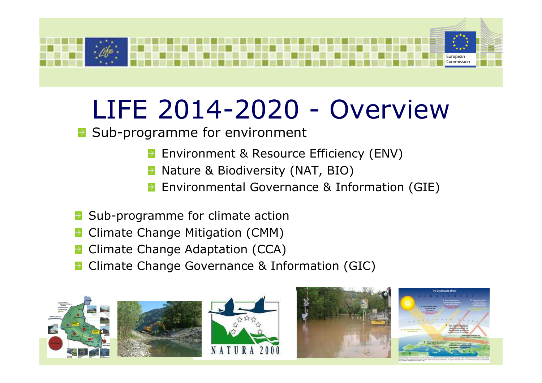

## LIFE 2014-2020 - Overview

**B** Sub-programme for environment

- Environment & Resource Efficiency (ENV)
- Nature & Biodiversity (NAT, BIO)
- Environmental Governance & Information (GIE)
- Sub-programme for climate action
- Climate Change Mitigation (CMM)
- Climate Change Adaptation (CCA)
- Climate Change Governance & Information (GIC)









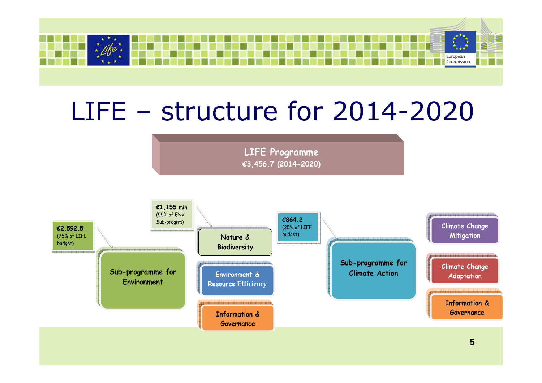

## LIFE – structure for 2014-2020

**LIFE Programme€3,456.7 (2014-2020)** 

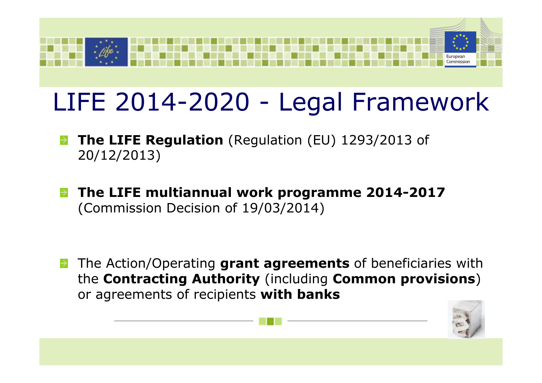

## LIFE 2014-2020 - Legal Framework

- **The LIFE Regulation** (Regulation (EU) 1293/2013 of 20/12/2013)
- **The LIFE multiannual work programme 2014-2017**(Commission Decision of 19/03/2014)

The Action/Operating **grant agreements** of beneficiaries with the **Contracting Authority** (including **Common provisions**) or agreements of recipients **with banks**

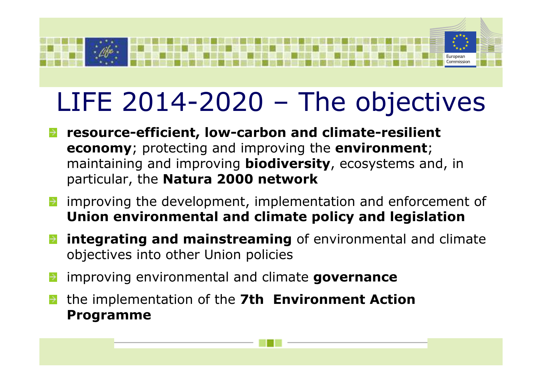

# LIFE 2014-2020 – The objectives

- **resource-efficient, low-carbon and climate-resilient economy**; protecting and improving the **environment**; maintaining and improving **biodiversity**, ecosystems and, in particular, the **Natura 2000 network**
- improving the development, implementation and enforcement of **Union environmental and climate policy and legislation**
- **integrating and mainstreaming** of environmental and climate objectives into other Union policies
- improving environmental and climate **governance**
- the implementation of the **7th Environment Action Programme**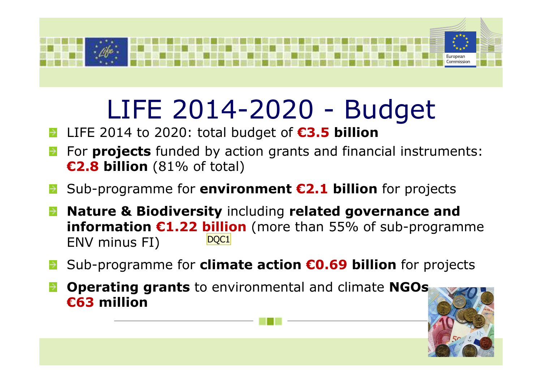

## LIFE 2014-2020 - Budget

#### LIFE 2014 to 2020: total budget of **€3.5 billion** $\rightarrow$

- For **projects** funded by action grants and financial instruments: **€2.8 billion** (81% of total)
- Sub-programme for **environment €2.1 billion** for projects  $\rightarrow$
- **Nature & Biodiversity** including **related governance and information €1.22 billion** (more than 55% of sub-programme ENV minus FI)D<sub>OC1</sub>
- Sub-programme for **climate action €0.69 billion** for projects
- **Operating grants** to environmental and climate **NGOs €63 million**

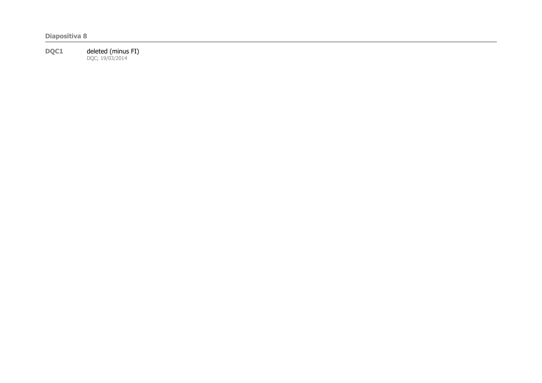**Diapositiva 8**

**DQC1** deleted (minus FI)<br>DQC; 19/03/2014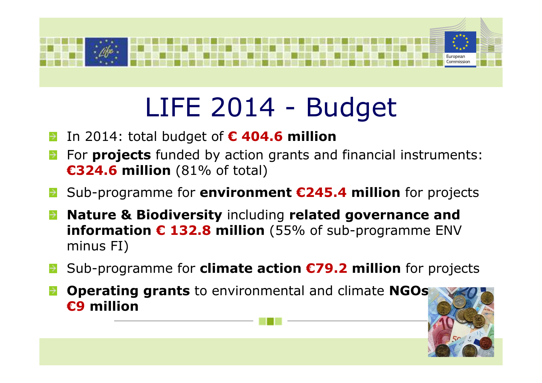

# LIFE 2014 - Budget

- In 2014: total budget of **€ 404.6 million**
- For **projects** funded by action grants and financial instruments: **€324.6 million** (81% of total)
- Sub-programme for **environment €245.4 million** for projects
- **Nature & Biodiversity** including **related governance and information € 132.8 million** (55% of sub-programme ENV minus FI)
- Sub-programme for **climate action €79.2 million** for projects
- **Operating grants** to environmental and climate **NGOs €9 million**

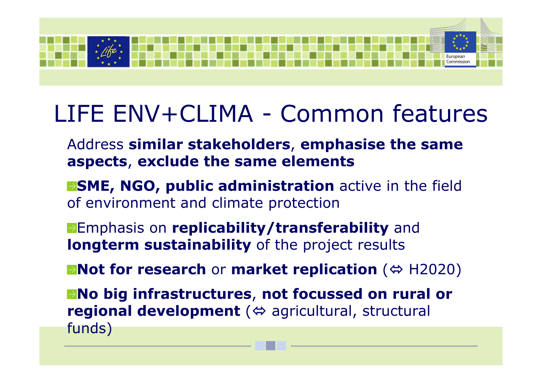

## LIFE ENV+CLIMA - Common features

- Address **similar stakeholders**, **emphasise the same aspects**, **exclude the same elements**
- **SME, NGO, public administration** active in the field of environment and climate protection
- Emphasis on **replicability/transferability** and **longterm sustainability** of the project results
- **Not for research** or **market replication** ( $\Leftrightarrow$  H2020)
- **No big infrastructures, not focussed on rural or regional development** (⇔ agricultural, structural<br>funds) funds)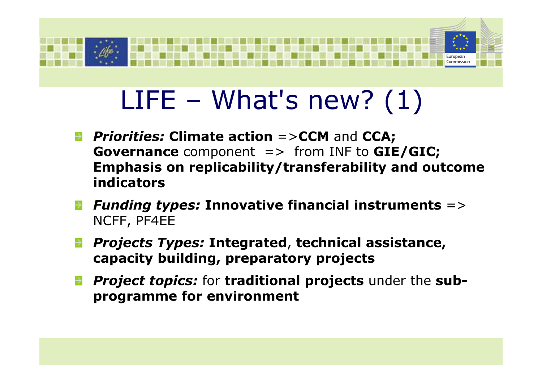

# $LIFE - What's new? (1)$

- *Priorities:* **Climate action** =>**CCM** and **CCA; Governance** component => from INF to **GIE/GIC; Emphasis on replicability/transferability and outcome indicators**
- *Funding types:* **Innovative financial instruments** => NCFF, PF4EE
- *Projects Types:* **Integrated**, **technical assistance, capacity building, preparatory projects**
- *Project topics:* for **traditional projects** under the **subprogramme for environment**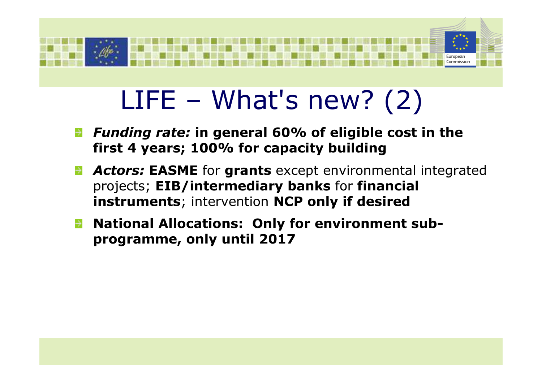

# $LIFE - What's new? (2)$

- *Funding rate:* **in general 60% of eligible cost in the first 4 years; 100% for capacity building**
- *Actors:* **EASME** for **grants** except environmental integrated projects; **EIB/intermediary banks** for **financial instruments**; intervention **NCP only if desired**
- **National Allocations: Only for environment subprogramme, only until 2017**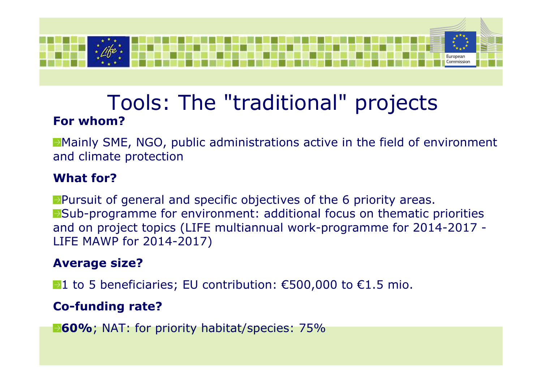

## Tools: The "traditional" projects**For whom?**

Mainly SME, NGO, public administrations active in the field of environment and climate protection

#### **What for?**

 $\rightarrow$  Pursuit of general and specific objectives of the 6 priority areas. Sub-programme for environment: additional focus on thematic priorities and on project topics (LIFE multiannual work-programme for 2014-2017 -LIFE MAWP for 2014-2017)

### **Average size?**

 $\rightarrow$ 1 to 5 beneficiaries; EU contribution: €500,000 to €1.5 mio.

### **Co-funding rate?**

**1-60%**; NAT: for priority habitat/species: 75%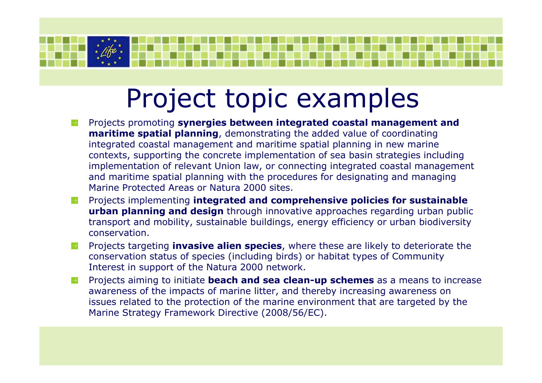## Project topic examples

- Projects promoting **synergies between integrated coastal management andmaritime spatial planning**, demonstrating the added value of coordinating integrated coastal management and maritime spatial planning in new marine contexts, supporting the concrete implementation of sea basin strategies including implementation of relevant Union law, or connecting integrated coastal management and maritime spatial planning with the procedures for designating and managing Marine Protected Areas or Natura 2000 sites.
- Projects implementing **integrated and comprehensive policies for sustainable urban planning and design** through innovative approaches regarding urban public transport and mobility, sustainable buildings, energy efficiency or urban biodiversity conservation.
- Projects targeting **invasive alien species**, where these are likely to deteriorate the conservation status of species (including birds) or habitat types of Community Interest in support of the Natura 2000 network.
- Projects aiming to initiate **beach and sea clean-up schemes** as a means to increase  $\rightarrow$ awareness of the impacts of marine litter, and thereby increasing awareness on issues related to the protection of the marine environment that are targeted by the Marine Strategy Framework Directive (2008/56/EC).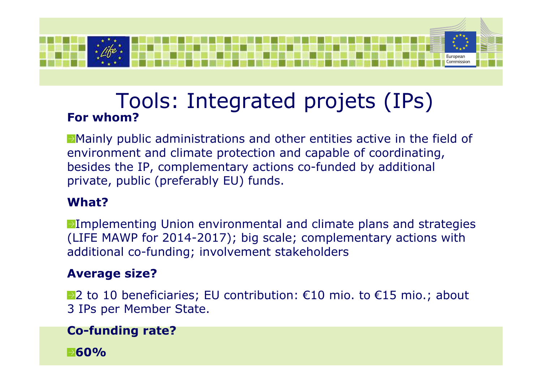

## Tools: Integrated projets (IPs)**For whom?**

Mainly public administrations and other entities active in the field of environment and climate protection and capable of coordinating, besides the IP, complementary actions co-funded by additional private, public (preferably EU) funds.

### **What?**

 $\rightarrow$ Implementing Union environmental and climate plans and strategies (LIFE MAWP for 2014-2017); big scale; complementary actions with additional co-funding; involvement stakeholders

#### **Average size?**

 $\rightarrow$  2 to 10 beneficiaries; EU contribution: €10 mio. to €15 mio.; about 3 IPs per Member State.

### **Co-funding rate?**

**60%**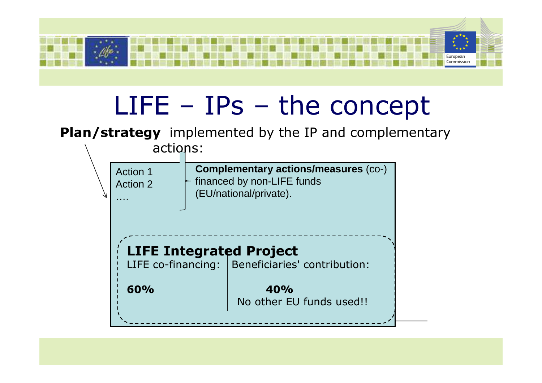

## LIFE – IPs – the concept

**Plan/strategy** implemented by the IP and complementary

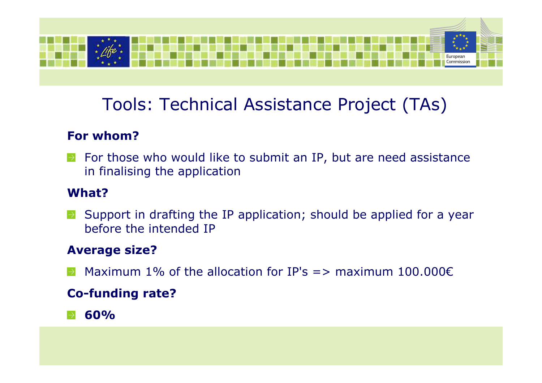

## Tools: Technical Assistance Project (TAs)

### **For whom?**

For those who would like to submit an IP, but are need assistance  $\rightarrow$ in finalising the application

#### **What?**

 $\rightarrow$  Support in drafting the IP application; should be applied for a year before the intended IP

### **Average size?**

Maximum 1% of the allocation for IP's  $\Rightarrow$  maximum 100.000 $\epsilon$ 

### **Co-funding rate?**

### **60%**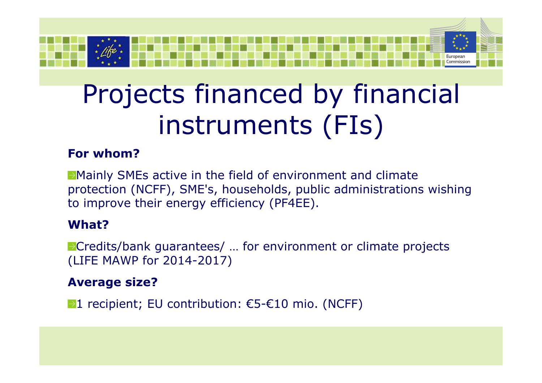

# Projects financed by financial instruments (FIs)

### **For whom?**

Mainly SMEs active in the field of environment and climate protection (NCFF), SME's, households, public administrations wishing to improve their energy efficiency (PF4EE).

### **What?**

▶ Credits/bank guarantees/ ... for environment or climate projects (LIFE MAWP for 2014-2017)

### **Average size?**

 $\rightarrow$ 1 recipient; EU contribution: €5-€10 mio. (NCFF)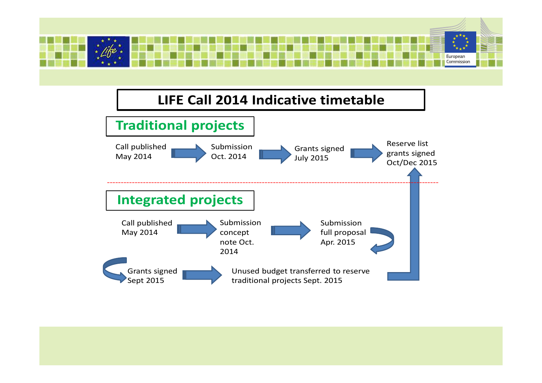